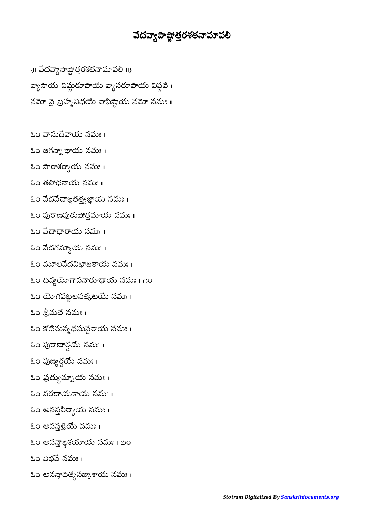## వేదవ్యాసా**ష్టోత్తరశతనామావ**లి

 $\{||$  వేదవ్యాసాష్టోత్తరశతనామావలీ $||$ వ్యాసాయ విష్ణురూపాయ వ్యాసరూపాయ విష్ణవే। నమో వై బ్రహ్మ నిధయే వాసిష్ఠాయ నమో నమః ॥

- ఓం య నమః ।
- ఓం జగయ నమః ।
- కుం పారాశర్యాయ నమః ।
- ఓం తధయ నమః ।
- ఓం వేదవేదాఙ్దతత్త్వజ్ఞాయ నమః ।
- ఓం పురాణపురుషోత్తమాయ నమః ।
- ఓం య నమః ।
- కుం వేదగమ్యాయ నమః ।
- ఓం మూలవేదవిభాజకాయ నమః ।
- ఓం దివ్యయోగాసనారూడాయ నమః । ∩ం
- ఓం గపటలసతట నమః ।
- ఓం శ్రీమతే నమః ।
- ఓం కోటిమన్మథసున్ధరాయ నమః ।
- ఓం పురాణార్షయే నమః ।
- ఓం పుణ్యర్షయే నమః ।
- ఓం య నమః ।
- ఓం వరయయ నమః ।
- ఓం అనన్తవీర్యాయ నమః ।
- ఓం అనన్తశ్రియే నమః ।
- ఓం అనఙశయ నమః । ౨౦
- ఓం విభవే నమః ।
- ఓం అనన్తాదిత్యసజ్కాశాయ నమః।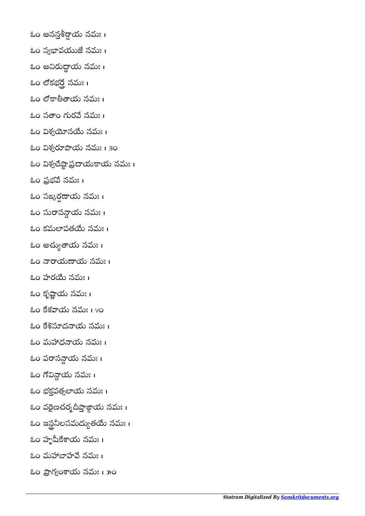- ఓం అనన్తశీర్షాయ నమః ।
- ఓం స్వభావయుజే నమః ।
- ఓం అ య నమః । í
- ఓం లోకభర్తే నమః ।
- ఓం య నమః ।
- ఓం సతాం గురవే నమః ।
- ఓం విశ్వయోనయే నమః ।
- ఓం విశ్వరూపాయ నమః । 30
- ఓం విశ్వచేష్టాప్రదాయకాయ నమః ।
- ఓం ప్రభవే నమః ।
- కుం సఙ్కరణాయ నమః ।
- ఓం సురానన్దాయ నమః ।
- ఓం కమపత నమః ।
- ఓం అచ్యుతాయ నమః ।
- ఓం యయ నమః ।
- ఓం హరయే నమః ।
- ఓం కృష్ణాయ నమః ।
- కుం కేశవాయ నమః । ४०
- ఓం కేశిస్తూదనాయ నమః ।
- ఓం మధయ నమః ।
- ఓం పరానన్గాయ నమః ।
- ఓం య నమః ।
- ఓం భక్తవత్సలాయ నమః ।
- ఓం వరైణచర్మదీప్తాజ్గాయ నమః ।
- ఓం ఇన్టనీలసమద్యుతయే నమః।
- ఓం హృయ నమః ।
- ఓం మహాబాహవే నమః ।
- ఓం ప్రాగ్యంశాయ నమః । ౫ం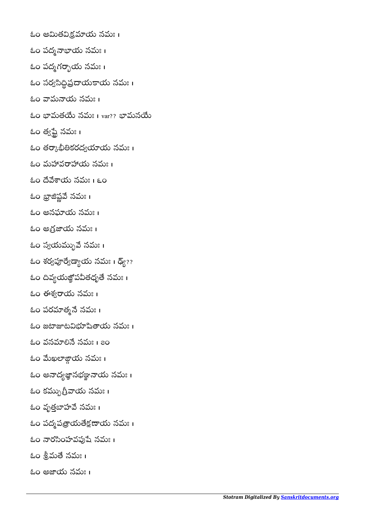ఓం అతయ నమః । ఓం పద్మనాభాయ నమః । ఓం పద్మగర్భాయ నమః । ఓం సర్వసిద్ధిప్రదాయకాయ నమః । ఓం మయ నమః । ఓం భామతయే నమః । var?? భామనయే

- ఓం త్వప్టే నమః ।
- ఓం తర్కాభీతికరద్వయాయ నమః ।
- ఓం మహావరాహాయ నమః ।
- ఓం య నమః । ౬౦
- ఓం భ్రాజిష్ణవే నమః ।
- ఓం అనయ నమః ।
- ఓం అగ్రజాయ నమః ।
- ఓం స్వయమ్భువే నమః ।
- ఓం శర్వపూర్వేడ్యాయ నమః । డ్య్??
- ఓం దివ్యయజ్ఞోపవీతధృతే నమః ।
- ఓం ఈశ్వరాయ నమః ।
- ఓం పరమాత్మనే నమః ।
- కుం జటాజాటవిభూషితాయ నమః ।
- ఓం వనమాలినే నమః । ౭౦
- ఓం మేఖలాజ్గాయ నమః ।
- ఓం అనాద్యజ్ఞానభళ్<mark>ణ</mark>ానాయ నమః ।
- ఓం కమ్బుగ్రీవాయ నమః ।
- ఓం వృత్తబాహవే నమః ।
- ఓం పద్మపత్రాయతేక్షణాయ నమః।
- ఓం నారసింహవఫుషే నమః ।
- ఓం శ్రీమతే నమః ।
- ఓం అయ నమః ।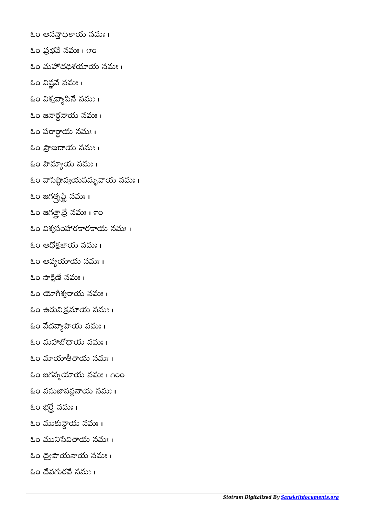ఓం అనయ నమః ।

ఓం ప్రభవే నమః । ౮ం

ఓం మదశయ నమః ।

ఓం విష్ణవే నమః ।

ఓం విశ్వవ్యాపినే నమః।

ఓం జనార్ధనాయ నమః ।

ఓం ప య నమః । 

కుం ప్రాణదాయ నమః ।

ఓం య నమః ।

ఓం వాసిష్ఠాన్వయసమృవాయ నమః ।

ఓం జగత్ళష్టే నమః ।

కుం జగత్తాత్రే నమః । ౯ం

ఓం విశ్వసంహారకారకాయ నమః ।

ఓం అధోక్షజాయ నమః ।

ఓం అవ్యయాయ నమః ।

 $\&$ ం సాక్షిణే నమః ।

ఓం శయ నమః ।

ఓం ఉయ నమః ।

ఓం వేదవ్యాసాయ నమః ।

ఓం మయ నమః ।

ఓం మాయాతీతాయ నమః ।

ఓం జగన్మయాయ నమః । గంం

ఓం వననయ నమః ।

ఓం భర్తే నమః ।

ఓం య నమః ।

ఓం మునిసేవితాయ నమః ।

ఓం ద్వైపాయనాయ నమః ।

ఓం వర నమః ।